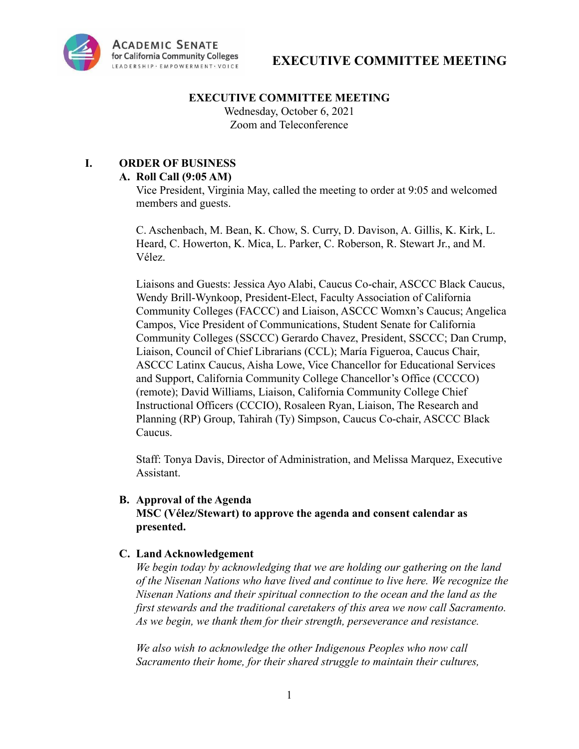

### **EXECUTIVE COMMITTEE MEETING**

Wednesday, October 6, 2021 Zoom and Teleconference

# **I. ORDER OF BUSINESS**

### **A. Roll Call (9:05 AM)**

Vice President, Virginia May, called the meeting to order at 9:05 and welcomed members and guests.

C. Aschenbach, M. Bean, K. Chow, S. Curry, D. Davison, A. Gillis, K. Kirk, L. Heard, C. Howerton, K. Mica, L. Parker, C. Roberson, R. Stewart Jr., and M. Vélez.

Liaisons and Guests: Jessica Ayo Alabi, Caucus Co-chair, ASCCC Black Caucus, Wendy Brill-Wynkoop, President-Elect, Faculty Association of California Community Colleges (FACCC) and Liaison, ASCCC Womxn's Caucus; Angelica Campos, Vice President of Communications, Student Senate for California Community Colleges (SSCCC) Gerardo Chavez, President, SSCCC; Dan Crump, Liaison, Council of Chief Librarians (CCL); María Figueroa, Caucus Chair, ASCCC Latinx Caucus, Aisha Lowe, Vice Chancellor for Educational Services and Support, California Community College Chancellor's Office (CCCCO) (remote); David Williams, Liaison, California Community College Chief Instructional Officers (CCCIO), Rosaleen Ryan, Liaison, The Research and Planning (RP) Group, Tahirah (Ty) Simpson, Caucus Co-chair, ASCCC Black Caucus.

Staff: Tonya Davis, Director of Administration, and Melissa Marquez, Executive Assistant.

### **B. Approval of the Agenda MSC (Vélez/Stewart) to approve the agenda and consent calendar as presented.**

## **C. Land Acknowledgement**

*We begin today by acknowledging that we are holding our gathering on the land of the Nisenan Nations who have lived and continue to live here. We recognize the Nisenan Nations and their spiritual connection to the ocean and the land as the first stewards and the traditional caretakers of this area we now call Sacramento. As we begin, we thank them for their strength, perseverance and resistance.*

*We also wish to acknowledge the other Indigenous Peoples who now call Sacramento their home, for their shared struggle to maintain their cultures,*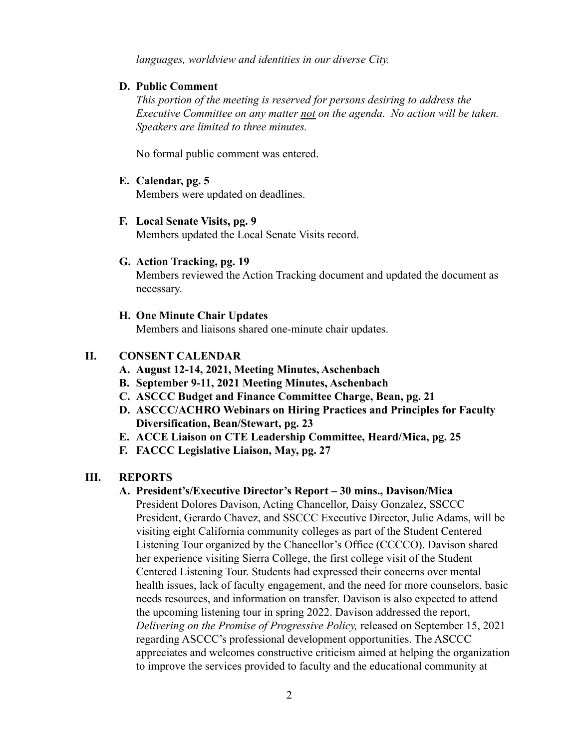*languages, worldview and identities in our diverse City.*

### **D. Public Comment**

*This portion of the meeting is reserved for persons desiring to address the Executive Committee on any matter not on the agenda. No action will be taken. Speakers are limited to three minutes.*

No formal public comment was entered.

## **E. Calendar, pg. 5**

Members were updated on deadlines.

### **F. Local Senate Visits, pg. 9**

Members updated the Local Senate Visits record.

## **G. Action Tracking, pg. 19**

Members reviewed the Action Tracking document and updated the document as necessary.

### **H. One Minute Chair Updates**

Members and liaisons shared one-minute chair updates.

## **II. CONSENT CALENDAR**

- **A. August 12-14, 2021, Meeting Minutes, Aschenbach**
- **B. September 9-11, 2021 Meeting Minutes, Aschenbach**
- **C. ASCCC Budget and Finance Committee Charge, Bean, pg. 21**
- **D. ASCCC/ACHRO Webinars on Hiring Practices and Principles for Faculty Diversification, Bean/Stewart, pg. 23**
- **E. ACCE Liaison on CTE Leadership Committee, Heard/Mica, pg. 25**
- **F. FACCC Legislative Liaison, May, pg. 27**

## **III. REPORTS**

## **A. President's/Executive Director's Report – 30 mins., Davison/Mica**

President Dolores Davison, Acting Chancellor, Daisy Gonzalez, SSCCC President, Gerardo Chavez, and SSCCC Executive Director, Julie Adams, will be visiting eight California community colleges as part of the Student Centered Listening Tour organized by the Chancellor's Office (CCCCO). Davison shared her experience visiting Sierra College, the first college visit of the Student Centered Listening Tour. Students had expressed their concerns over mental health issues, lack of faculty engagement, and the need for more counselors, basic needs resources, and information on transfer. Davison is also expected to attend the upcoming listening tour in spring 2022. Davison addressed the report, *Delivering on the Promise of Progressive Policy,* released on September 15, 2021 regarding ASCCC's professional development opportunities. The ASCCC appreciates and welcomes constructive criticism aimed at helping the organization to improve the services provided to faculty and the educational community at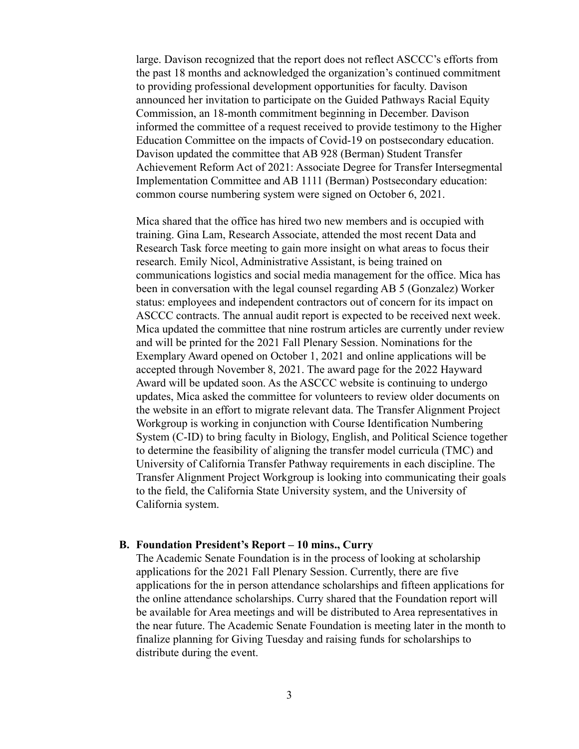large. Davison recognized that the report does not reflect ASCCC's efforts from the past 18 months and acknowledged the organization's continued commitment to providing professional development opportunities for faculty. Davison announced her invitation to participate on the Guided Pathways Racial Equity Commission, an 18-month commitment beginning in December. Davison informed the committee of a request received to provide testimony to the Higher Education Committee on the impacts of Covid-19 on postsecondary education. Davison updated the committee that AB 928 (Berman) Student Transfer Achievement Reform Act of 2021: Associate Degree for Transfer Intersegmental Implementation Committee and AB 1111 (Berman) Postsecondary education: common course numbering system were signed on October 6, 2021.

Mica shared that the office has hired two new members and is occupied with training. Gina Lam, Research Associate, attended the most recent Data and Research Task force meeting to gain more insight on what areas to focus their research. Emily Nicol, Administrative Assistant, is being trained on communications logistics and social media management for the office. Mica has been in conversation with the legal counsel regarding AB 5 (Gonzalez) Worker status: employees and independent contractors out of concern for its impact on ASCCC contracts. The annual audit report is expected to be received next week. Mica updated the committee that nine rostrum articles are currently under review and will be printed for the 2021 Fall Plenary Session. Nominations for the Exemplary Award opened on October 1, 2021 and online applications will be accepted through November 8, 2021. The award page for the 2022 Hayward Award will be updated soon. As the ASCCC website is continuing to undergo updates, Mica asked the committee for volunteers to review older documents on the website in an effort to migrate relevant data. The Transfer Alignment Project Workgroup is working in conjunction with Course Identification Numbering System (C-ID) to bring faculty in Biology, English, and Political Science together to determine the feasibility of aligning the transfer model curricula (TMC) and University of California Transfer Pathway requirements in each discipline. The Transfer Alignment Project Workgroup is looking into communicating their goals to the field, the California State University system, and the University of California system.

#### **B. Foundation President's Report – 10 mins., Curry**

The Academic Senate Foundation is in the process of looking at scholarship applications for the 2021 Fall Plenary Session. Currently, there are five applications for the in person attendance scholarships and fifteen applications for the online attendance scholarships. Curry shared that the Foundation report will be available for Area meetings and will be distributed to Area representatives in the near future. The Academic Senate Foundation is meeting later in the month to finalize planning for Giving Tuesday and raising funds for scholarships to distribute during the event.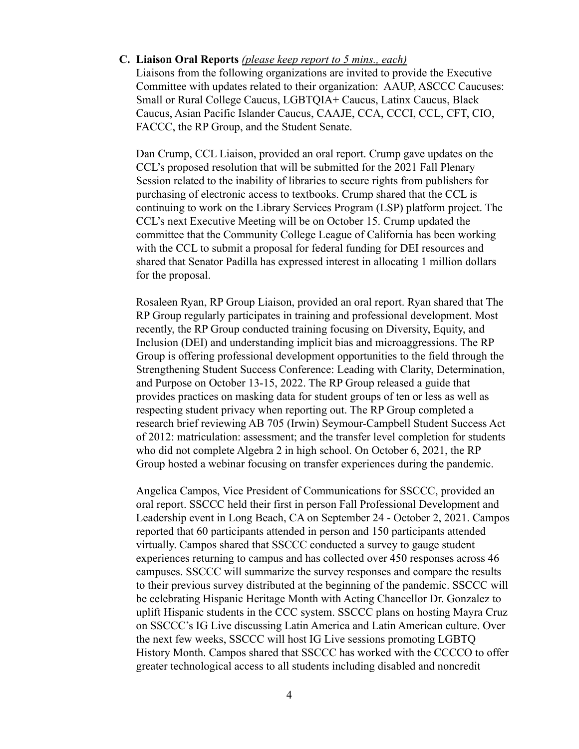#### **C. Liaison Oral Reports** *(please keep report to 5 mins., each)*

Liaisons from the following organizations are invited to provide the Executive Committee with updates related to their organization: AAUP, ASCCC Caucuses: Small or Rural College Caucus, LGBTQIA+ Caucus, Latinx Caucus, Black Caucus, Asian Pacific Islander Caucus, CAAJE, CCA, CCCI, CCL, CFT, CIO, FACCC, the RP Group, and the Student Senate.

Dan Crump, CCL Liaison, provided an oral report. Crump gave updates on the CCL's proposed resolution that will be submitted for the 2021 Fall Plenary Session related to the inability of libraries to secure rights from publishers for purchasing of electronic access to textbooks. Crump shared that the CCL is continuing to work on the Library Services Program (LSP) platform project. The CCL's next Executive Meeting will be on October 15. Crump updated the committee that the Community College League of California has been working with the CCL to submit a proposal for federal funding for DEI resources and shared that Senator Padilla has expressed interest in allocating 1 million dollars for the proposal.

Rosaleen Ryan, RP Group Liaison, provided an oral report. Ryan shared that The RP Group regularly participates in training and professional development. Most recently, the RP Group conducted training focusing on Diversity, Equity, and Inclusion (DEI) and understanding implicit bias and microaggressions. The RP Group is offering professional development opportunities to the field through the Strengthening Student Success Conference: Leading with Clarity, Determination, and Purpose on October 13-15, 2022. The RP Group released a guide that provides practices on masking data for student groups of ten or less as well as respecting student privacy when reporting out. The RP Group completed a research brief reviewing AB 705 (Irwin) Seymour-Campbell Student Success Act of 2012: matriculation: assessment; and the transfer level completion for students who did not complete Algebra 2 in high school. On October 6, 2021, the RP Group hosted a webinar focusing on transfer experiences during the pandemic.

Angelica Campos, Vice President of Communications for SSCCC, provided an oral report. SSCCC held their first in person Fall Professional Development and Leadership event in Long Beach, CA on September 24 - October 2, 2021. Campos reported that 60 participants attended in person and 150 participants attended virtually. Campos shared that SSCCC conducted a survey to gauge student experiences returning to campus and has collected over 450 responses across 46 campuses. SSCCC will summarize the survey responses and compare the results to their previous survey distributed at the beginning of the pandemic. SSCCC will be celebrating Hispanic Heritage Month with Acting Chancellor Dr. Gonzalez to uplift Hispanic students in the CCC system. SSCCC plans on hosting Mayra Cruz on SSCCC's IG Live discussing Latin America and Latin American culture. Over the next few weeks, SSCCC will host IG Live sessions promoting LGBTQ History Month. Campos shared that SSCCC has worked with the CCCCO to offer greater technological access to all students including disabled and noncredit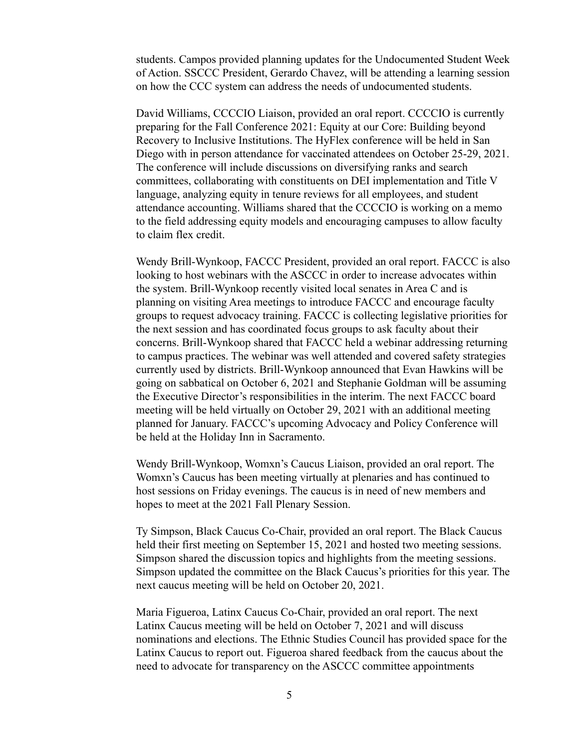students. Campos provided planning updates for the Undocumented Student Week of Action. SSCCC President, Gerardo Chavez, will be attending a learning session on how the CCC system can address the needs of undocumented students.

David Williams, CCCCIO Liaison, provided an oral report. CCCCIO is currently preparing for the Fall Conference 2021: Equity at our Core: Building beyond Recovery to Inclusive Institutions. The HyFlex conference will be held in San Diego with in person attendance for vaccinated attendees on October 25-29, 2021. The conference will include discussions on diversifying ranks and search committees, collaborating with constituents on DEI implementation and Title V language, analyzing equity in tenure reviews for all employees, and student attendance accounting. Williams shared that the CCCCIO is working on a memo to the field addressing equity models and encouraging campuses to allow faculty to claim flex credit.

Wendy Brill-Wynkoop, FACCC President, provided an oral report. FACCC is also looking to host webinars with the ASCCC in order to increase advocates within the system. Brill-Wynkoop recently visited local senates in Area C and is planning on visiting Area meetings to introduce FACCC and encourage faculty groups to request advocacy training. FACCC is collecting legislative priorities for the next session and has coordinated focus groups to ask faculty about their concerns. Brill-Wynkoop shared that FACCC held a webinar addressing returning to campus practices. The webinar was well attended and covered safety strategies currently used by districts. Brill-Wynkoop announced that Evan Hawkins will be going on sabbatical on October 6, 2021 and Stephanie Goldman will be assuming the Executive Director's responsibilities in the interim. The next FACCC board meeting will be held virtually on October 29, 2021 with an additional meeting planned for January. FACCC's upcoming Advocacy and Policy Conference will be held at the Holiday Inn in Sacramento.

Wendy Brill-Wynkoop, Womxn's Caucus Liaison, provided an oral report. The Womxn's Caucus has been meeting virtually at plenaries and has continued to host sessions on Friday evenings. The caucus is in need of new members and hopes to meet at the 2021 Fall Plenary Session.

Ty Simpson, Black Caucus Co-Chair, provided an oral report. The Black Caucus held their first meeting on September 15, 2021 and hosted two meeting sessions. Simpson shared the discussion topics and highlights from the meeting sessions. Simpson updated the committee on the Black Caucus's priorities for this year. The next caucus meeting will be held on October 20, 2021.

Maria Figueroa, Latinx Caucus Co-Chair, provided an oral report. The next Latinx Caucus meeting will be held on October 7, 2021 and will discuss nominations and elections. The Ethnic Studies Council has provided space for the Latinx Caucus to report out. Figueroa shared feedback from the caucus about the need to advocate for transparency on the ASCCC committee appointments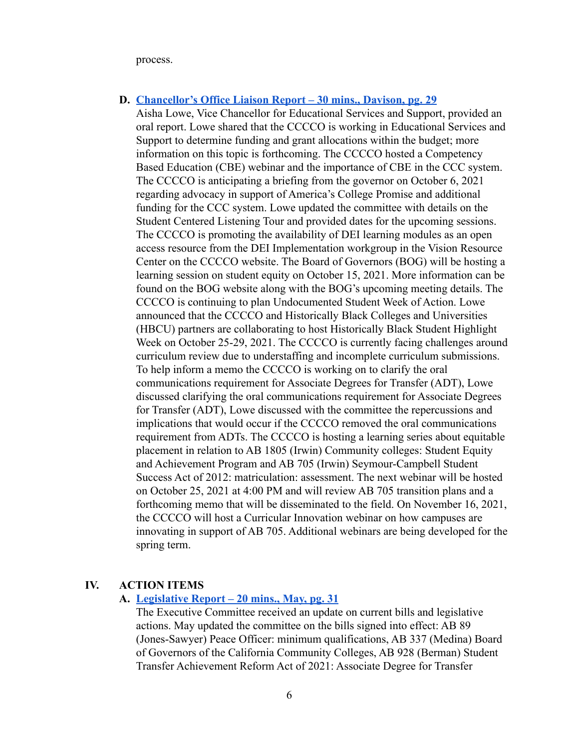process.

### **D. Chancellor's Office Liaison Report – 30 mins., Davison, pg. 29**

Aisha Lowe, Vice Chancellor for Educational Services and Support, provided an oral report. Lowe shared that the CCCCO is working in Educational Services and Support to determine funding and grant allocations within the budget; more information on this topic is forthcoming. The CCCCO hosted a Competency Based Education (CBE) webinar and the importance of CBE in the CCC system. The CCCCO is anticipating a briefing from the governor on October 6, 2021 regarding advocacy in support of America's College Promise and additional funding for the CCC system. Lowe updated the committee with details on the Student Centered Listening Tour and provided dates for the upcoming sessions. The CCCCO is promoting the availability of DEI learning modules as an open access resource from the DEI Implementation workgroup in the Vision Resource Center on the CCCCO website. The Board of Governors (BOG) will be hosting a learning session on student equity on October 15, 2021. More information can be found on the BOG website along with the BOG's upcoming meeting details. The CCCCO is continuing to plan Undocumented Student Week of Action. Lowe announced that the CCCCO and Historically Black Colleges and Universities (HBCU) partners are collaborating to host Historically Black Student Highlight Week on October 25-29, 2021. The CCCCO is currently facing challenges around curriculum review due to understaffing and incomplete curriculum submissions. To help inform a memo the CCCCO is working on to clarify the oral communications requirement for Associate Degrees for Transfer (ADT), Lowe discussed clarifying the oral communications requirement for Associate Degrees for Transfer (ADT), Lowe discussed with the committee the repercussions and implications that would occur if the CCCCO removed the oral communications requirement from ADTs. The CCCCO is hosting a learning series about equitable placement in relation to AB 1805 (Irwin) Community colleges: Student Equity and Achievement Program and AB 705 (Irwin) Seymour-Campbell Student Success Act of 2012: matriculation: assessment. The next webinar will be hosted on October 25, 2021 at 4:00 PM and will review AB 705 transition plans and a forthcoming memo that will be disseminated to the field. On November 16, 2021, the CCCCO will host a Curricular Innovation webinar on how campuses are innovating in support of AB 705. Additional webinars are being developed for the spring term.

### **IV. ACTION ITEMS**

### **A. Legislative Report – 20 mins., May, pg. 31**

The Executive Committee received an update on current bills and legislative actions. May updated the committee on the bills signed into effect: AB 89 (Jones-Sawyer) Peace Officer: minimum qualifications, AB 337 (Medina) Board of Governors of the California Community Colleges, AB 928 (Berman) Student Transfer Achievement Reform Act of 2021: Associate Degree for Transfer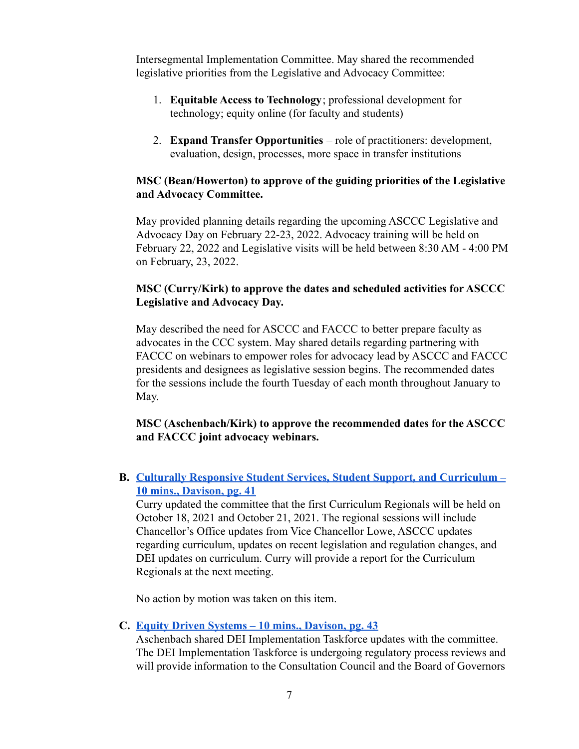Intersegmental Implementation Committee. May shared the recommended legislative priorities from the Legislative and Advocacy Committee:

- 1. **Equitable Access to Technology**; professional development for technology; equity online (for faculty and students)
- 2. **Expand Transfer Opportunities** role of practitioners: development, evaluation, design, processes, more space in transfer institutions

### **MSC (Bean/Howerton) to approve of the guiding priorities of the Legislative and Advocacy Committee.**

May provided planning details regarding the upcoming ASCCC Legislative and Advocacy Day on February 22-23, 2022. Advocacy training will be held on February 22, 2022 and Legislative visits will be held between 8:30 AM - 4:00 PM on February, 23, 2022.

# **MSC (Curry/Kirk) to approve the dates and scheduled activities for ASCCC Legislative and Advocacy Day.**

May described the need for ASCCC and FACCC to better prepare faculty as advocates in the CCC system. May shared details regarding partnering with FACCC on webinars to empower roles for advocacy lead by ASCCC and FACCC presidents and designees as legislative session begins. The recommended dates for the sessions include the fourth Tuesday of each month throughout January to May.

## **MSC (Aschenbach/Kirk) to approve the recommended dates for the ASCCC and FACCC joint advocacy webinars.**

**B. Culturally Responsive Student Services, Student Support, and Curriculum – 10 mins., Davison, pg. 41**

Curry updated the committee that the first Curriculum Regionals will be held on October 18, 2021 and October 21, 2021. The regional sessions will include Chancellor's Office updates from Vice Chancellor Lowe, ASCCC updates regarding curriculum, updates on recent legislation and regulation changes, and DEI updates on curriculum. Curry will provide a report for the Curriculum Regionals at the next meeting.

No action by motion was taken on this item.

## **C. Equity Driven Systems – 10 mins., Davison, pg. 43**

Aschenbach shared DEI Implementation Taskforce updates with the committee. The DEI Implementation Taskforce is undergoing regulatory process reviews and will provide information to the Consultation Council and the Board of Governors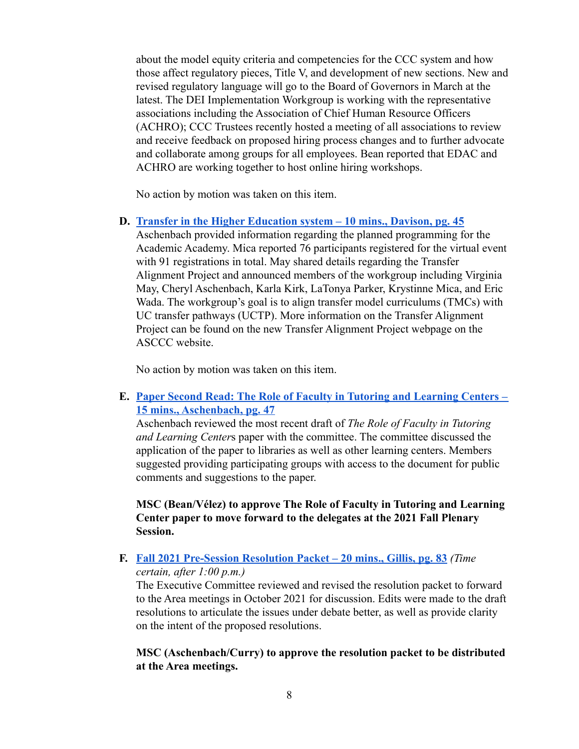about the model equity criteria and competencies for the CCC system and how those affect regulatory pieces, Title V, and development of new sections. New and revised regulatory language will go to the Board of Governors in March at the latest. The DEI Implementation Workgroup is working with the representative associations including the Association of Chief Human Resource Officers (ACHRO); CCC Trustees recently hosted a meeting of all associations to review and receive feedback on proposed hiring process changes and to further advocate and collaborate among groups for all employees. Bean reported that EDAC and ACHRO are working together to host online hiring workshops.

No action by motion was taken on this item.

**D. Transfer in the Higher Education system – 10 mins., Davison, pg. 45**

Aschenbach provided information regarding the planned programming for the Academic Academy. Mica reported 76 participants registered for the virtual event with 91 registrations in total. May shared details regarding the Transfer Alignment Project and announced members of the workgroup including Virginia May, Cheryl Aschenbach, Karla Kirk, LaTonya Parker, Krystinne Mica, and Eric Wada. The workgroup's goal is to align transfer model curriculums (TMCs) with UC transfer pathways (UCTP). More information on the Transfer Alignment Project can be found on the new Transfer Alignment Project webpage on the ASCCC website.

No action by motion was taken on this item.

# **E. Paper Second Read: The Role of Faculty in Tutoring and Learning Centers – 15 mins., Aschenbach, pg. 47**

Aschenbach reviewed the most recent draft of *The Role of Faculty in Tutoring and Learning Center*s paper with the committee. The committee discussed the application of the paper to libraries as well as other learning centers. Members suggested providing participating groups with access to the document for public comments and suggestions to the paper.

**MSC (Bean/Vélez) to approve The Role of Faculty in Tutoring and Learning Center paper to move forward to the delegates at the 2021 Fall Plenary Session.**

### **F. Fall 2021 Pre-Session Resolution Packet – 20 mins., Gillis, pg. 83** *(Time certain, after 1:00 p.m.)*

The Executive Committee reviewed and revised the resolution packet to forward to the Area meetings in October 2021 for discussion. Edits were made to the draft resolutions to articulate the issues under debate better, as well as provide clarity on the intent of the proposed resolutions.

### **MSC (Aschenbach/Curry) to approve the resolution packet to be distributed at the Area meetings.**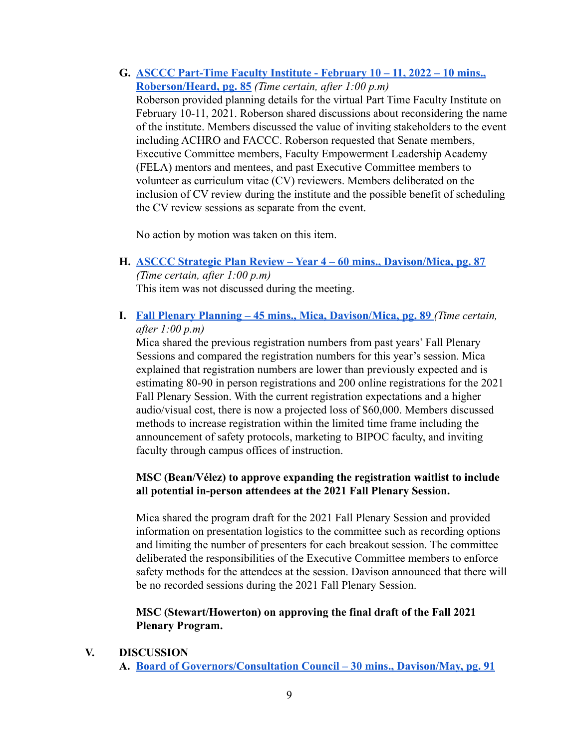**G. ASCCC Part-Time Faculty Institute - February 10 – 11, 2022 – 10 mins., Roberson/Heard, pg. 85** *(Time certain, after 1:00 p.m)*

Roberson provided planning details for the virtual Part Time Faculty Institute on February 10-11, 2021. Roberson shared discussions about reconsidering the name of the institute. Members discussed the value of inviting stakeholders to the event including ACHRO and FACCC. Roberson requested that Senate members, Executive Committee members, Faculty Empowerment Leadership Academy (FELA) mentors and mentees, and past Executive Committee members to volunteer as curriculum vitae (CV) reviewers. Members deliberated on the inclusion of CV review during the institute and the possible benefit of scheduling the CV review sessions as separate from the event.

No action by motion was taken on this item.

- **H. ASCCC Strategic Plan Review Year 4 60 mins., Davison/Mica, pg. 87** *(Time certain, after 1:00 p.m)* This item was not discussed during the meeting.
- **I. Fall Plenary Planning 45 mins., Mica, Davison/Mica, pg. 89** *(Time certain, after 1:00 p.m)*

Mica shared the previous registration numbers from past years' Fall Plenary Sessions and compared the registration numbers for this year's session. Mica explained that registration numbers are lower than previously expected and is estimating 80-90 in person registrations and 200 online registrations for the 2021 Fall Plenary Session. With the current registration expectations and a higher audio/visual cost, there is now a projected loss of \$60,000. Members discussed methods to increase registration within the limited time frame including the announcement of safety protocols, marketing to BIPOC faculty, and inviting faculty through campus offices of instruction.

## **MSC (Bean/Vélez) to approve expanding the registration waitlist to include all potential in-person attendees at the 2021 Fall Plenary Session.**

Mica shared the program draft for the 2021 Fall Plenary Session and provided information on presentation logistics to the committee such as recording options and limiting the number of presenters for each breakout session. The committee deliberated the responsibilities of the Executive Committee members to enforce safety methods for the attendees at the session. Davison announced that there will be no recorded sessions during the 2021 Fall Plenary Session.

### **MSC (Stewart/Howerton) on approving the final draft of the Fall 2021 Plenary Program.**

**V. DISCUSSION**

**A. Board of Governors/Consultation Council – 30 mins., Davison/May, pg. 91**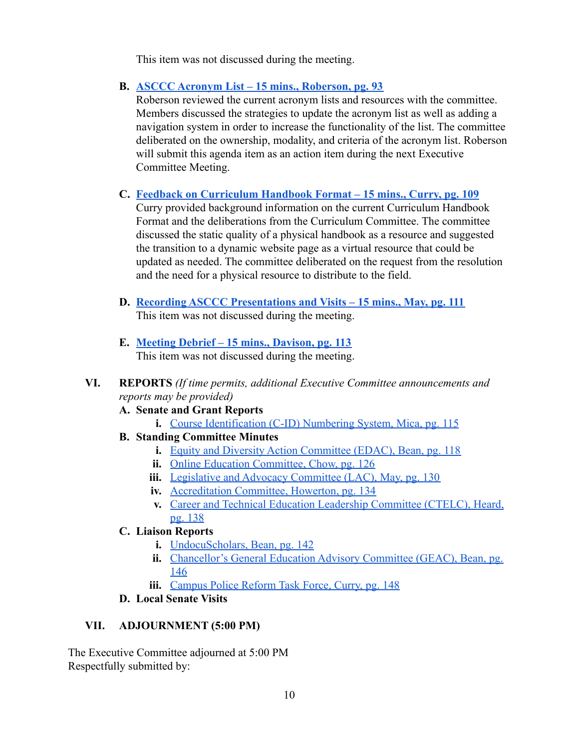This item was not discussed during the meeting.

**B. ASCCC Acronym List – 15 mins., Roberson, pg. 93**

Roberson reviewed the current acronym lists and resources with the committee. Members discussed the strategies to update the acronym list as well as adding a navigation system in order to increase the functionality of the list. The committee deliberated on the ownership, modality, and criteria of the acronym list. Roberson will submit this agenda item as an action item during the next Executive Committee Meeting.

**C. Feedback on Curriculum Handbook Format – 15 mins., Curry, pg. 109**

Curry provided background information on the current Curriculum Handbook Format and the deliberations from the Curriculum Committee. The committee discussed the static quality of a physical handbook as a resource and suggested the transition to a dynamic website page as a virtual resource that could be updated as needed. The committee deliberated on the request from the resolution and the need for a physical resource to distribute to the field.

- **D. Recording ASCCC Presentations and Visits 15 mins., May, pg. 111** This item was not discussed during the meeting.
- **E. Meeting Debrief 15 mins., Davison, pg. 113** This item was not discussed during the meeting.
- **VI. REPORTS** *(If time permits, additional Executive Committee announcements and reports may be provided)*
	- **A. Senate and Grant Reports**
		- **i.** Course Identification (C-ID) Numbering System, Mica, pg. 115
	- **B. Standing Committee Minutes**
		- **i.** Equity and Diversity Action Committee (EDAC), Bean, pg. 118
		- **ii.** Online Education Committee, Chow, pg. 126
		- **iii.** Legislative and Advocacy Committee (LAC), May, pg. 130
		- **iv.** Accreditation Committee, Howerton, pg. 134
		- **v.** Career and Technical Education Leadership Committee (CTELC), Heard, pg. 138
	- **C. Liaison Reports**
		- **i.** UndocuScholars, Bean, pg. 142
		- **ii.** Chancellor's General Education Advisory Committee (GEAC), Bean, pg. 146
		- **iii.** Campus Police Reform Task Force, Curry, pg. 148
	- **D. Local Senate Visits**

## **VII. ADJOURNMENT (5:00 PM)**

The Executive Committee adjourned at 5:00 PM Respectfully submitted by: